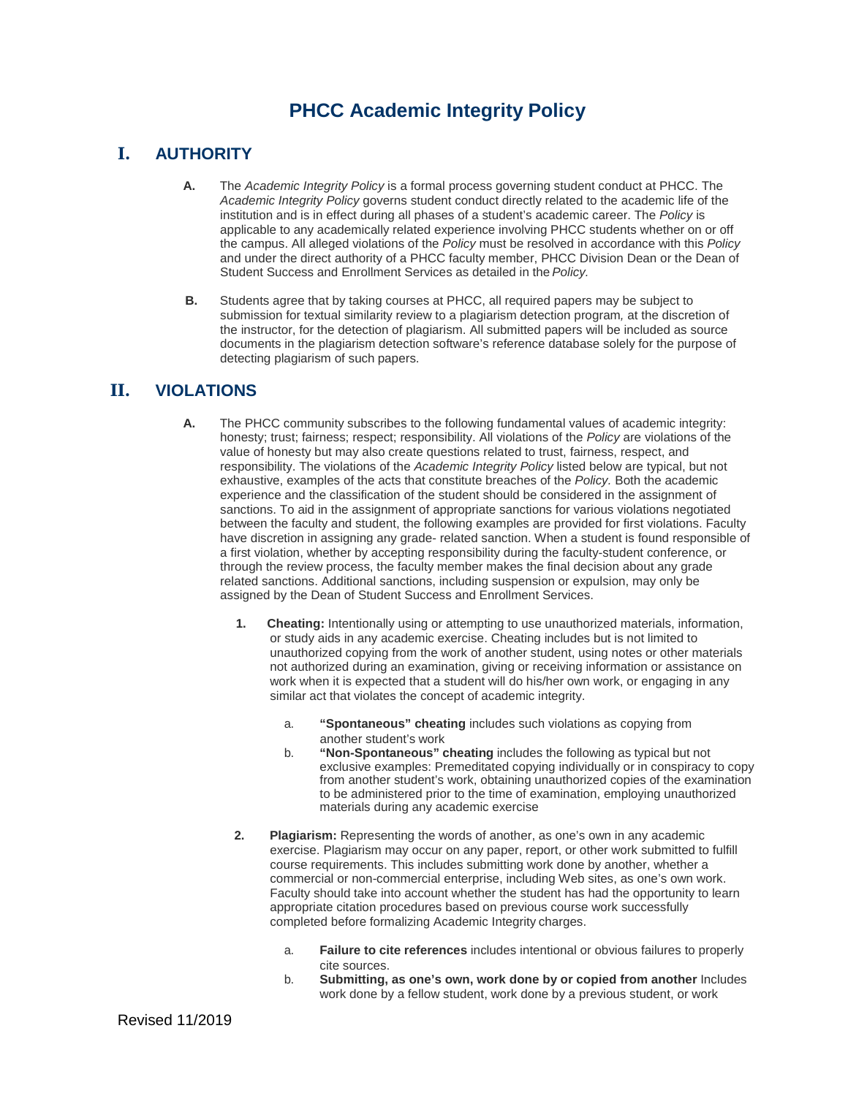# **PHCC Academic Integrity Policy**

## **I. AUTHORITY**

- **A.** The *Academic Integrity Policy* is a formal process governing student conduct at PHCC. The *Academic Integrity Policy* governs student conduct directly related to the academic life of the institution and is in effect during all phases of a student's academic career. The *Policy* is applicable to any academically related experience involving PHCC students whether on or off the campus. All alleged violations of the *Policy* must be resolved in accordance with this *Policy* and under the direct authority of a PHCC faculty member, PHCC Division Dean or the Dean of Student Success and Enrollment Services as detailed in the*Policy.*
- **B.** Students agree that by taking courses at PHCC, all required papers may be subject to submission for textual similarity review to a plagiarism detection program*,* at the discretion of the instructor, for the detection of plagiarism. All submitted papers will be included as source documents in the plagiarism detection software's reference database solely for the purpose of detecting plagiarism of such papers.

## **II. VIOLATIONS**

- **A.** The PHCC community subscribes to the following fundamental values of academic integrity: honesty; trust; fairness; respect; responsibility. All violations of the *Policy* are violations of the value of honesty but may also create questions related to trust, fairness, respect, and responsibility. The violations of the *Academic Integrity Policy* listed below are typical, but not exhaustive, examples of the acts that constitute breaches of the *Policy.* Both the academic experience and the classification of the student should be considered in the assignment of sanctions. To aid in the assignment of appropriate sanctions for various violations negotiated between the faculty and student, the following examples are provided for first violations. Faculty have discretion in assigning any grade- related sanction. When a student is found responsible of a first violation, whether by accepting responsibility during the faculty-student conference, or through the review process, the faculty member makes the final decision about any grade related sanctions. Additional sanctions, including suspension or expulsion, may only be assigned by the Dean of Student Success and Enrollment Services.
	- **1. Cheating:** Intentionally using or attempting to use unauthorized materials, information, or study aids in any academic exercise. Cheating includes but is not limited to unauthorized copying from the work of another student, using notes or other materials not authorized during an examination, giving or receiving information or assistance on work when it is expected that a student will do his/her own work, or engaging in any similar act that violates the concept of academic integrity.
		- a. **"Spontaneous" cheating** includes such violations as copying from another student's work
		- b. **"Non-Spontaneous" cheating** includes the following as typical but not exclusive examples: Premeditated copying individually or in conspiracy to copy from another student's work, obtaining unauthorized copies of the examination to be administered prior to the time of examination, employing unauthorized materials during any academic exercise
	- **2. Plagiarism:** Representing the words of another, as one's own in any academic exercise. Plagiarism may occur on any paper, report, or other work submitted to fulfill course requirements. This includes submitting work done by another, whether a commercial or non-commercial enterprise, including Web sites, as one's own work. Faculty should take into account whether the student has had the opportunity to learn appropriate citation procedures based on previous course work successfully completed before formalizing Academic Integrity charges.
		- a. **Failure to cite references** includes intentional or obvious failures to properly cite sources.
		- b. **Submitting, as one's own, work done by or copied from another** Includes work done by a fellow student, work done by a previous student, or work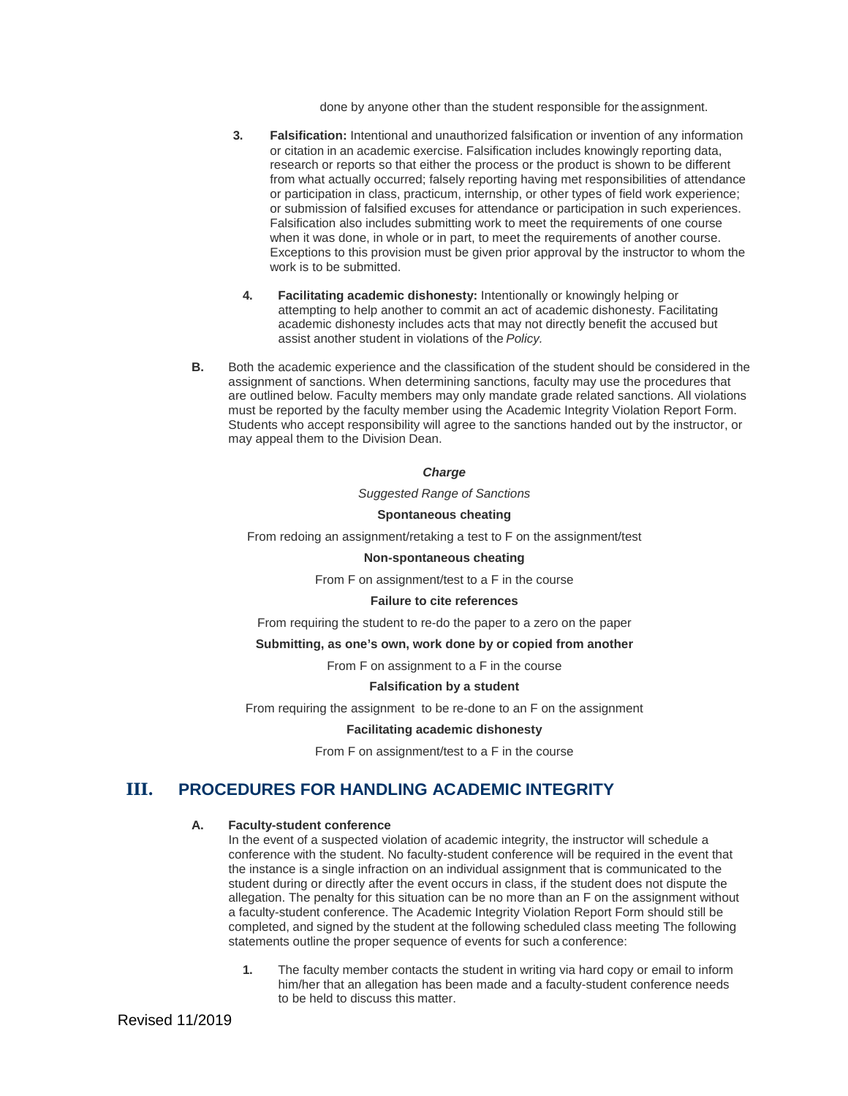done by anyone other than the student responsible for theassignment.

- **3. Falsification:** Intentional and unauthorized falsification or invention of any information or citation in an academic exercise. Falsification includes knowingly reporting data, research or reports so that either the process or the product is shown to be different from what actually occurred; falsely reporting having met responsibilities of attendance or participation in class, practicum, internship, or other types of field work experience; or submission of falsified excuses for attendance or participation in such experiences. Falsification also includes submitting work to meet the requirements of one course when it was done, in whole or in part, to meet the requirements of another course. Exceptions to this provision must be given prior approval by the instructor to whom the work is to be submitted.
	- **4. Facilitating academic dishonesty:** Intentionally or knowingly helping or attempting to help another to commit an act of academic dishonesty. Facilitating academic dishonesty includes acts that may not directly benefit the accused but assist another student in violations of the *Policy.*
- **B.** Both the academic experience and the classification of the student should be considered in the assignment of sanctions. When determining sanctions, faculty may use the procedures that are outlined below. Faculty members may only mandate grade related sanctions. All violations must be reported by the faculty member using the Academic Integrity Violation Report Form. Students who accept responsibility will agree to the sanctions handed out by the instructor, or may appeal them to the Division Dean.

#### *Charge*

*Suggested Range of Sanctions*

#### **Spontaneous cheating**

From redoing an assignment/retaking a test to F on the assignment/test

#### **Non-spontaneous cheating**

From F on assignment/test to a F in the course

#### **Failure to cite references**

From requiring the student to re-do the paper to a zero on the paper

#### **Submitting, as one's own, work done by or copied from another**

From F on assignment to a F in the course

#### **Falsification by a student**

From requiring the assignment to be re-done to an F on the assignment

#### **Facilitating academic dishonesty**

From F on assignment/test to a F in the course

### **III. PROCEDURES FOR HANDLING ACADEMIC INTEGRITY**

#### **A. Faculty-student conference**

In the event of a suspected violation of academic integrity, the instructor will schedule a conference with the student. No faculty-student conference will be required in the event that the instance is a single infraction on an individual assignment that is communicated to the student during or directly after the event occurs in class, if the student does not dispute the allegation. The penalty for this situation can be no more than an F on the assignment without a faculty-student conference. The Academic Integrity Violation Report Form should still be completed, and signed by the student at the following scheduled class meeting The following statements outline the proper sequence of events for such a conference:

**1.** The faculty member contacts the student in writing via hard copy or email to inform him/her that an allegation has been made and a faculty-student conference needs to be held to discuss this matter.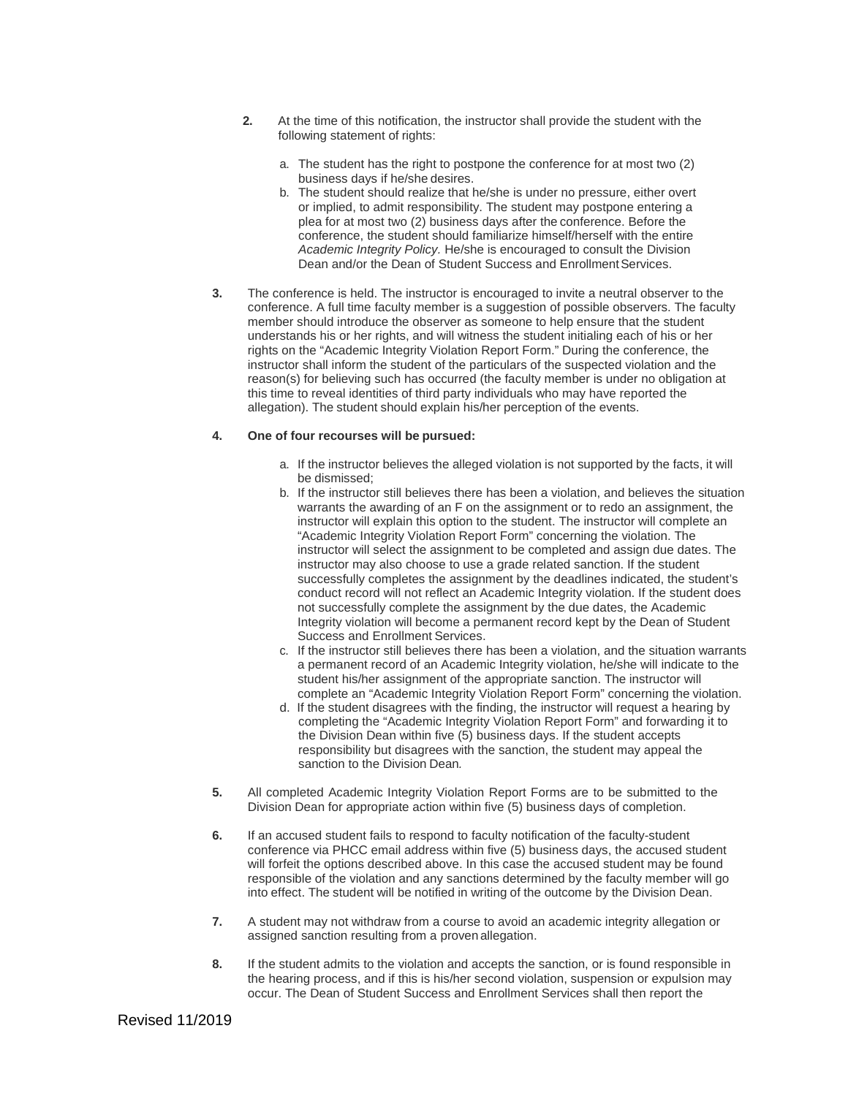- **2.** At the time of this notification, the instructor shall provide the student with the following statement of rights:
	- a. The student has the right to postpone the conference for at most two (2) business days if he/she desires.
	- b. The student should realize that he/she is under no pressure, either overt or implied, to admit responsibility. The student may postpone entering a plea for at most two (2) business days after the conference. Before the conference, the student should familiarize himself/herself with the entire *Academic Integrity Policy.* He/she is encouraged to consult the Division Dean and/or the Dean of Student Success and Enrollment Services.
- **3.** The conference is held. The instructor is encouraged to invite a neutral observer to the conference. A full time faculty member is a suggestion of possible observers. The faculty member should introduce the observer as someone to help ensure that the student understands his or her rights, and will witness the student initialing each of his or her rights on the "Academic Integrity Violation Report Form." During the conference, the instructor shall inform the student of the particulars of the suspected violation and the reason(s) for believing such has occurred (the faculty member is under no obligation at this time to reveal identities of third party individuals who may have reported the allegation). The student should explain his/her perception of the events.

#### **4. One of four recourses will be pursued:**

- a. If the instructor believes the alleged violation is not supported by the facts, it will be dismissed;
- b. If the instructor still believes there has been a violation, and believes the situation warrants the awarding of an F on the assignment or to redo an assignment, the instructor will explain this option to the student. The instructor will complete an "Academic Integrity Violation Report Form" concerning the violation. The instructor will select the assignment to be completed and assign due dates. The instructor may also choose to use a grade related sanction. If the student successfully completes the assignment by the deadlines indicated, the student's conduct record will not reflect an Academic Integrity violation. If the student does not successfully complete the assignment by the due dates, the Academic Integrity violation will become a permanent record kept by the Dean of Student Success and Enrollment Services.
- c. If the instructor still believes there has been a violation, and the situation warrants a permanent record of an Academic Integrity violation, he/she will indicate to the student his/her assignment of the appropriate sanction. The instructor will complete an "Academic Integrity Violation Report Form" concerning the violation.
- d. If the student disagrees with the finding, the instructor will request a hearing by completing the "Academic Integrity Violation Report Form" and forwarding it to the Division Dean within five (5) business days. If the student accepts responsibility but disagrees with the sanction, the student may appeal the sanction to the Division Dean*.*
- **5.** All completed Academic Integrity Violation Report Forms are to be submitted to the Division Dean for appropriate action within five (5) business days of completion.
- **6.** If an accused student fails to respond to faculty notification of the faculty-student conference via PHCC email address within five (5) business days, the accused student will forfeit the options described above. In this case the accused student may be found responsible of the violation and any sanctions determined by the faculty member will go into effect. The student will be notified in writing of the outcome by the Division Dean.
- **7.** A student may not withdraw from a course to avoid an academic integrity allegation or assigned sanction resulting from a proven allegation.
- **8.** If the student admits to the violation and accepts the sanction, or is found responsible in the hearing process, and if this is his/her second violation, suspension or expulsion may occur. The Dean of Student Success and Enrollment Services shall then report the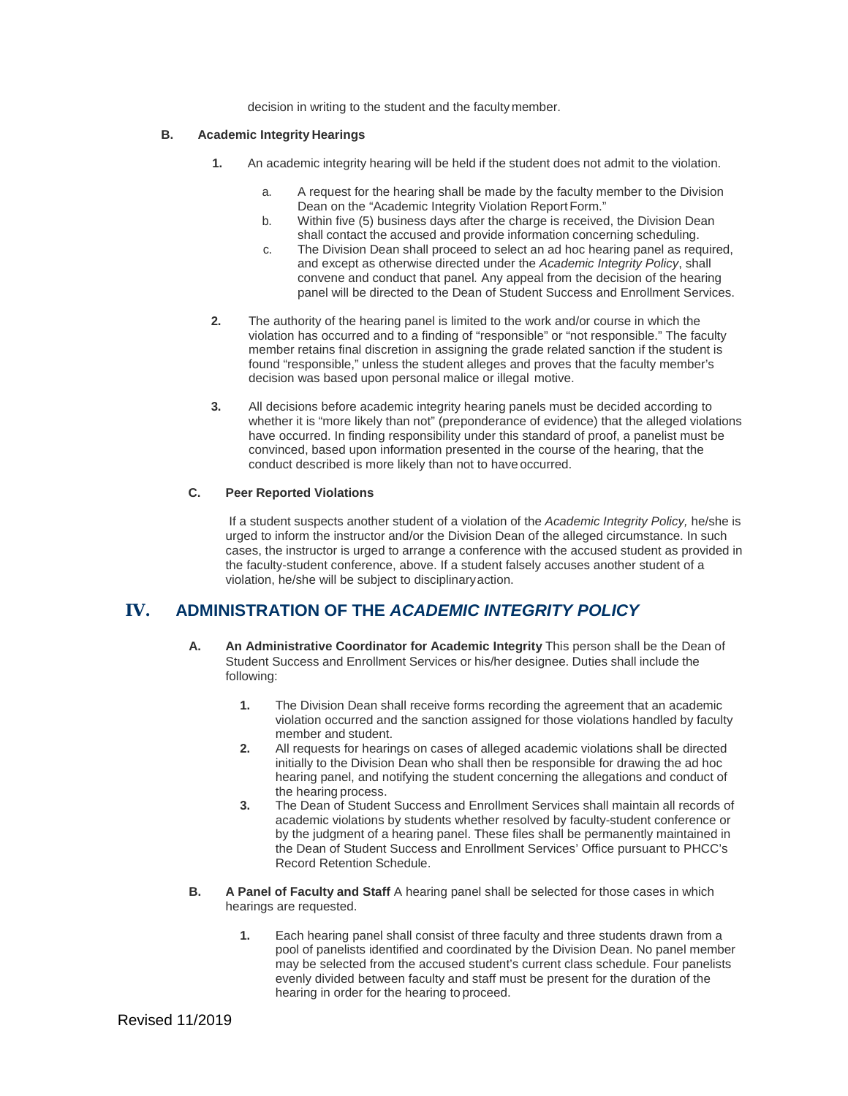decision in writing to the student and the faculty member.

#### **B. Academic Integrity Hearings**

- **1.** An academic integrity hearing will be held if the student does not admit to the violation.
	- a. A request for the hearing shall be made by the faculty member to the Division Dean on the "Academic Integrity Violation Report Form."
	- b. Within five (5) business days after the charge is received, the Division Dean shall contact the accused and provide information concerning scheduling.
	- c. The Division Dean shall proceed to select an ad hoc hearing panel as required, and except as otherwise directed under the *Academic Integrity Policy*, shall convene and conduct that panel*.* Any appeal from the decision of the hearing panel will be directed to the Dean of Student Success and Enrollment Services.
- **2.** The authority of the hearing panel is limited to the work and/or course in which the violation has occurred and to a finding of "responsible" or "not responsible." The faculty member retains final discretion in assigning the grade related sanction if the student is found "responsible," unless the student alleges and proves that the faculty member's decision was based upon personal malice or illegal motive.
- **3.** All decisions before academic integrity hearing panels must be decided according to whether it is "more likely than not" (preponderance of evidence) that the alleged violations have occurred. In finding responsibility under this standard of proof, a panelist must be convinced, based upon information presented in the course of the hearing, that the conduct described is more likely than not to have occurred.

#### **C. Peer Reported Violations**

If a student suspects another student of a violation of the *Academic Integrity Policy,* he/she is urged to inform the instructor and/or the Division Dean of the alleged circumstance. In such cases, the instructor is urged to arrange a conference with the accused student as provided in the faculty-student conference, above. If a student falsely accuses another student of a violation, he/she will be subject to disciplinaryaction.

## **IV. ADMINISTRATION OF THE** *ACADEMIC INTEGRITY POLICY*

- **A. An Administrative Coordinator for Academic Integrity** This person shall be the Dean of Student Success and Enrollment Services or his/her designee. Duties shall include the following:
	- **1.** The Division Dean shall receive forms recording the agreement that an academic violation occurred and the sanction assigned for those violations handled by faculty member and student.
	- **2.** All requests for hearings on cases of alleged academic violations shall be directed initially to the Division Dean who shall then be responsible for drawing the ad hoc hearing panel, and notifying the student concerning the allegations and conduct of the hearing process.
	- **3.** The Dean of Student Success and Enrollment Services shall maintain all records of academic violations by students whether resolved by faculty-student conference or by the judgment of a hearing panel. These files shall be permanently maintained in the Dean of Student Success and Enrollment Services' Office pursuant to PHCC's Record Retention Schedule.
- **B. A Panel of Faculty and Staff** A hearing panel shall be selected for those cases in which hearings are requested.
	- **1.** Each hearing panel shall consist of three faculty and three students drawn from a pool of panelists identified and coordinated by the Division Dean. No panel member may be selected from the accused student's current class schedule. Four panelists evenly divided between faculty and staff must be present for the duration of the hearing in order for the hearing to proceed.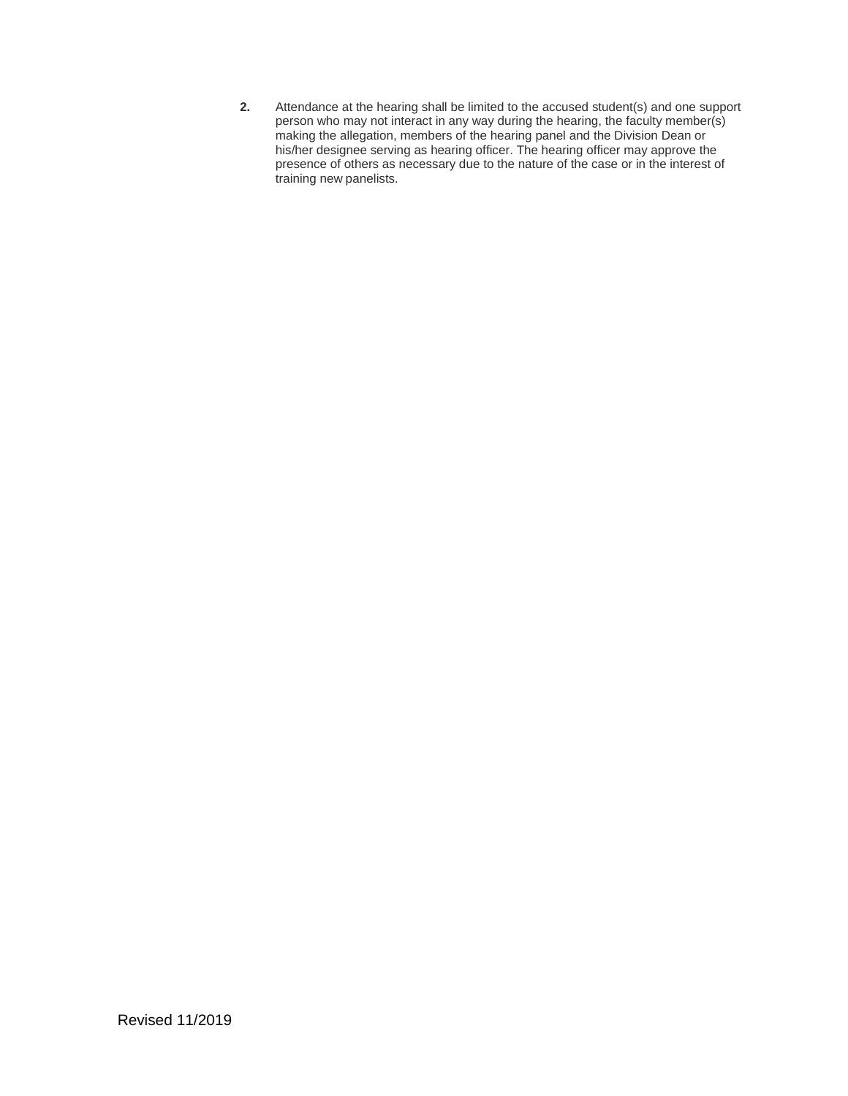**2.** Attendance at the hearing shall be limited to the accused student(s) and one support person who may not interact in any way during the hearing, the faculty member(s) making the allegation, members of the hearing panel and the Division Dean or his/her designee serving as hearing officer. The hearing officer may approve the presence of others as necessary due to the nature of the case or in the interest of training new panelists.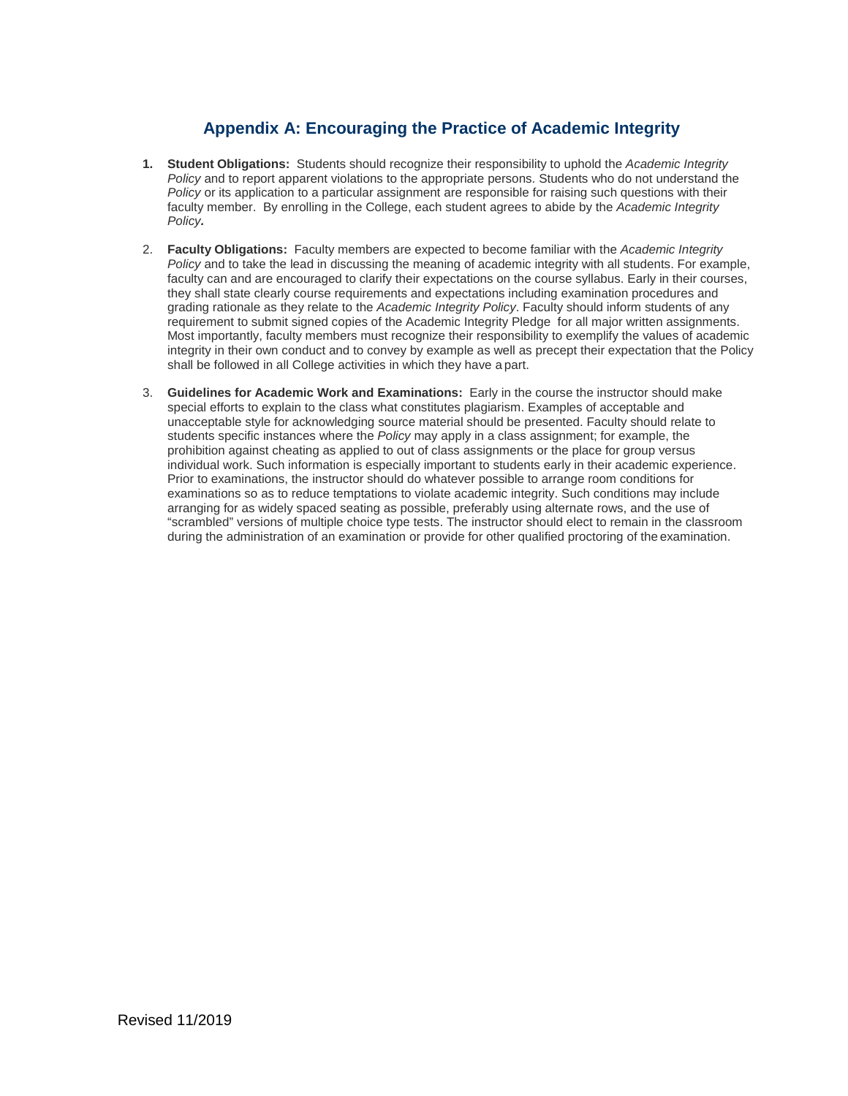## **Appendix A: Encouraging the Practice of Academic Integrity**

- **1. Student Obligations:** Students should recognize their responsibility to uphold the *Academic Integrity Policy* and to report apparent violations to the appropriate persons. Students who do not understand the *Policy* or its application to a particular assignment are responsible for raising such questions with their faculty member. By enrolling in the College, each student agrees to abide by the *Academic Integrity Policy.*
- 2. **Faculty Obligations:** Faculty members are expected to become familiar with the *Academic Integrity Policy* and to take the lead in discussing the meaning of academic integrity with all students. For example, faculty can and are encouraged to clarify their expectations on the course syllabus. Early in their courses, they shall state clearly course requirements and expectations including examination procedures and grading rationale as they relate to the *Academic Integrity Policy*. Faculty should inform students of any requirement to submit signed copies of the Academic Integrity Pledge for all major written assignments. Most importantly, faculty members must recognize their responsibility to exemplify the values of academic integrity in their own conduct and to convey by example as well as precept their expectation that the Policy shall be followed in all College activities in which they have a part.
- 3. **Guidelines for Academic Work and Examinations:** Early in the course the instructor should make special efforts to explain to the class what constitutes plagiarism. Examples of acceptable and unacceptable style for acknowledging source material should be presented. Faculty should relate to students specific instances where the *Policy* may apply in a class assignment; for example, the prohibition against cheating as applied to out of class assignments or the place for group versus individual work. Such information is especially important to students early in their academic experience. Prior to examinations, the instructor should do whatever possible to arrange room conditions for examinations so as to reduce temptations to violate academic integrity. Such conditions may include arranging for as widely spaced seating as possible, preferably using alternate rows, and the use of "scrambled" versions of multiple choice type tests. The instructor should elect to remain in the classroom during the administration of an examination or provide for other qualified proctoring of the examination.